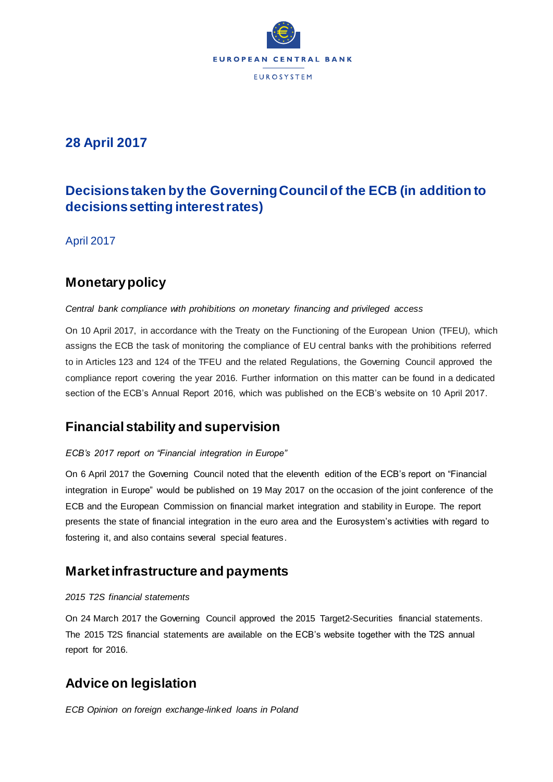

### **28 April 2017**

# **Decisions taken by the Governing Council of the ECB (in addition to decisions setting interest rates)**

April 2017

## **Monetary policy**

#### *Central bank compliance with prohibitions on monetary financing and privileged access*

On 10 April 2017, in accordance with the Treaty on the Functioning of the European Union (TFEU), which assigns the ECB the task of monitoring the compliance of EU central banks with the prohibitions referred to in Articles 123 and 124 of the TFEU and the related Regulations, the Governing Council approved the compliance report covering the year 2016. Further information on this matter can be found in a dedicated section of the ECB's Annual Report 2016, which was published on the ECB's website on 10 April 2017.

## **Financial stability and supervision**

#### *ECB's 2017 report on "Financial integration in Europe"*

On 6 April 2017 the Governing Council noted that the eleventh edition of the ECB's report on "Financial integration in Europe" would be published on 19 May 2017 on the occasion of the joint conference of the ECB and the European Commission on financial market integration and stability in Europe. The report presents the state of financial integration in the euro area and the Eurosystem's activities with regard to fostering it, and also contains several special features.

### **Market infrastructure and payments**

#### *2015 T2S financial statements*

On 24 March 2017 the Governing Council approved the 2015 Target2-Securities financial statements. The 2015 T2S financial statements are available on the ECB's website together with the T2S annual report for 2016.

## **Advice on legislation**

*ECB Opinion on foreign exchange-linked loans in Poland*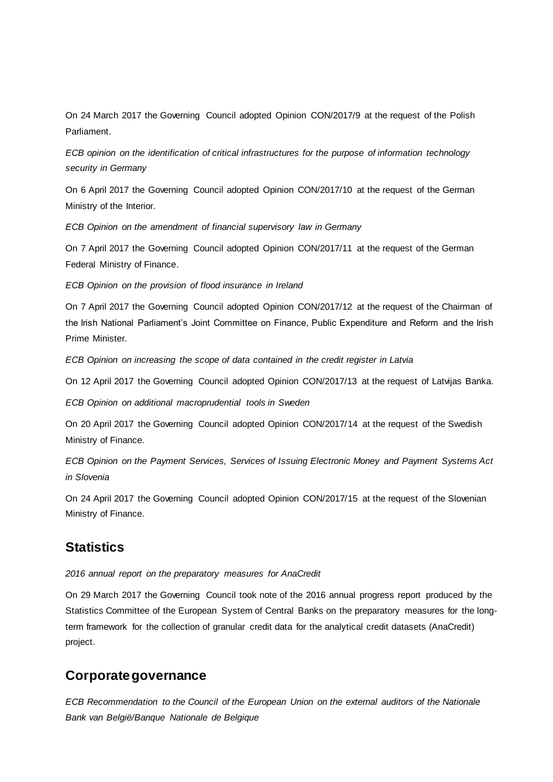On 24 March 2017 the Governing Council adopted Opinion CON/2017/9 at the request of the Polish Parliament.

*ECB opinion on the identification of critical infrastructures for the purpose of information technology security in Germany*

On 6 April 2017 the Governing Council adopted Opinion CON/2017/10 at the request of the German Ministry of the Interior.

*ECB Opinion on the amendment of financial supervisory law in Germany*

On 7 April 2017 the Governing Council adopted Opinion CON/2017/11 at the request of the German Federal Ministry of Finance.

*ECB Opinion on the provision of flood insurance in Ireland*

On 7 April 2017 the Governing Council adopted Opinion CON/2017/12 at the request of the Chairman of the Irish National Parliament's Joint Committee on Finance, Public Expenditure and Reform and the Irish Prime Minister.

*ECB Opinion on increasing the scope of data contained in the credit register in Latvia*

On 12 April 2017 the Governing Council adopted Opinion CON/2017/13 at the request of Latvijas Banka.

*ECB Opinion on additional macroprudential tools in Sweden*

On 20 April 2017 the Governing Council adopted Opinion CON/2017/14 at the request of the Swedish Ministry of Finance.

*ECB Opinion on the Payment Services, Services of Issuing Electronic Money and Payment Systems Act in Slovenia*

On 24 April 2017 the Governing Council adopted Opinion CON/2017/15 at the request of the Slovenian Ministry of Finance.

### **Statistics**

*2016 annual report on the preparatory measures for AnaCredit* 

On 29 March 2017 the Governing Council took note of the 2016 annual progress report produced by the Statistics Committee of the European System of Central Banks on the preparatory measures for the longterm framework for the collection of granular credit data for the analytical credit datasets (AnaCredit) project.

### **Corporate governance**

*ECB Recommendation to the Council of the European Union on the external auditors of the Nationale Bank van België/Banque Nationale de Belgique*